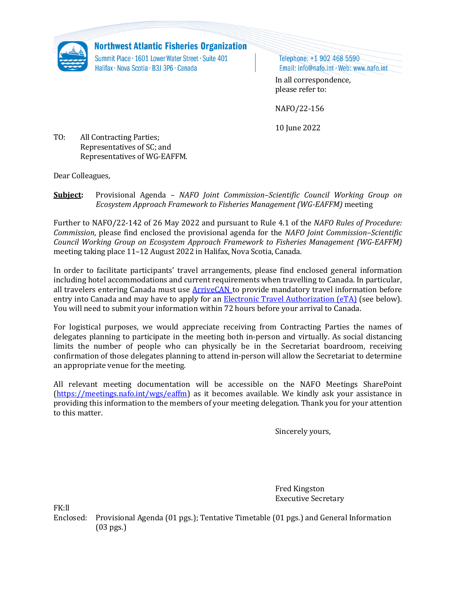

**Northwest Atlantic Fisheries Organization** 

Summit Place · 1601 Lower Water Street · Suite 401 Halifax · Nova Scotia · B3J 3P6 · Canada

Telephone: +1 902 468 5590 Email: info@nafo.int · Web: www.nafo.int

In all correspondence, please refer to:

NAFO/22-156

10 June 2022

TO: All Contracting Parties; Representatives of SC; and Representatives of WG-EAFFM.

Dear Colleagues,

**Subject:** Provisional Agenda – *NAFO Joint Commission–Scientific Council Working Group on Ecosystem Approach Framework to Fisheries Management (WG-EAFFM)* meeting

Further to NAFO/22-142 of 26 May 2022 and pursuant to Rule 4.1 of the *NAFO Rules of Procedure: Commission*, please find enclosed the provisional agenda for the *NAFO Joint Commission–Scientific Council Working Group on Ecosystem Approach Framework to Fisheries Management (WG-EAFFM)* meeting taking place 11–12 August 2022 in Halifax, Nova Scotia, Canada.

In order to facilitate participants' travel arrangements, please find enclosed general information including hotel accommodations and current requirements when travelling to Canada. In particular, all travelers entering Canada must use **ArriveCAN** to provide mandatory travel information before entry into Canada and may have to apply for an [Electronic Travel Authorization \(eTA\)](https://www.canada.ca/en/immigration-refugees-citizenship/services/visit-canada/eta/facts.html) (see below). You will need to submit your information within 72 hours before your arrival to Canada.

For logistical purposes, we would appreciate receiving from Contracting Parties the names of delegates planning to participate in the meeting both in-person and virtually. As social distancing limits the number of people who can physically be in the Secretariat boardroom, receiving confirmation of those delegates planning to attend in-person will allow the Secretariat to determine an appropriate venue for the meeting.

All relevant meeting documentation will be accessible on the NAFO Meetings SharePoint [\(https://meetings.nafo.int/wgs/eaffm\)](https://meetings.nafo.int/wgs/eaffm) as it becomes available. We kindly ask your assistance in providing this information to the members of your meeting delegation. Thank you for your attention to this matter.

Sincerely yours,

Fred Kingston Executive Secretary

FK:ll

Enclosed: Provisional Agenda (01 pgs.); Tentative Timetable (01 pgs.) and General Information (03 pgs.)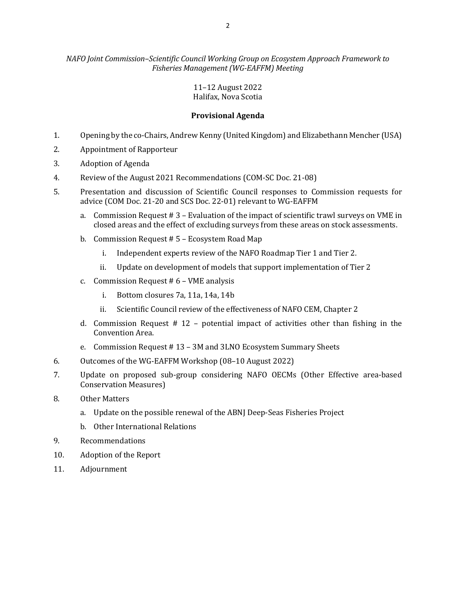## 11–12 August 2022 Halifax, Nova Scotia

# **Provisional Agenda**

- 1. Opening by the co-Chairs, Andrew Kenny (United Kingdom) and Elizabethann Mencher (USA)
- 2. Appointment of Rapporteur
- 3. Adoption of Agenda
- 4. Review of the August 2021 Recommendations (COM-SC Doc. 21-08)
- 5. Presentation and discussion of Scientific Council responses to Commission requests for advice (COM Doc. 21-20 and SCS Doc. 22-01) relevant to WG-EAFFM
	- a. Commission Request # 3 Evaluation of the impact of scientific trawl surveys on VME in closed areas and the effect of excluding surveys from these areas on stock assessments.
	- b. Commission Request # 5 Ecosystem Road Map
		- i. Independent experts review of the NAFO Roadmap Tier 1 and Tier 2.
		- ii. Update on development of models that support implementation of Tier 2
	- c. Commission Request # 6 VME analysis
		- i. Bottom closures 7a, 11a, 14a, 14b
		- ii. Scientific Council review of the effectiveness of NAFO CEM, Chapter 2
	- d. Commission Request # 12 potential impact of activities other than fishing in the Convention Area.
	- e. Commission Request # 13 3M and 3LNO Ecosystem Summary Sheets
- 6. Outcomes of the WG-EAFFM Workshop (08–10 August 2022)
- 7. Update on proposed sub-group considering NAFO OECMs (Other Effective area-based Conservation Measures)
- 8. Other Matters
	- a. Update on the possible renewal of the ABNJ Deep-Seas Fisheries Project
	- b. Other International Relations
- 9. Recommendations
- 10. Adoption of the Report
- 11. Adjournment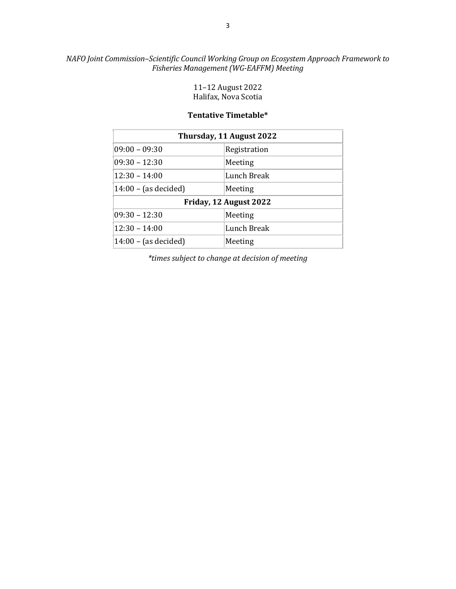# *NAFO Joint Commission–Scientific Council Working Group on Ecosystem Approach Framework to Fisheries Management (WG-EAFFM) Meeting*

11–12 August 2022 Halifax, Nova Scotia

## **Tentative Timetable\***

| Thursday, 11 August 2022 |              |
|--------------------------|--------------|
| $09:00 - 09:30$          | Registration |
| $09:30 - 12:30$          | Meeting      |
| $12:30 - 14:00$          | Lunch Break  |
| $14:00 - (as decided)$   | Meeting      |
| Friday, 12 August 2022   |              |
| $09:30 - 12:30$          | Meeting      |
| $12:30 - 14:00$          | Lunch Break  |
| $14:00 - (as decided)$   | Meeting      |

*\*times subject to change at decision of meeting*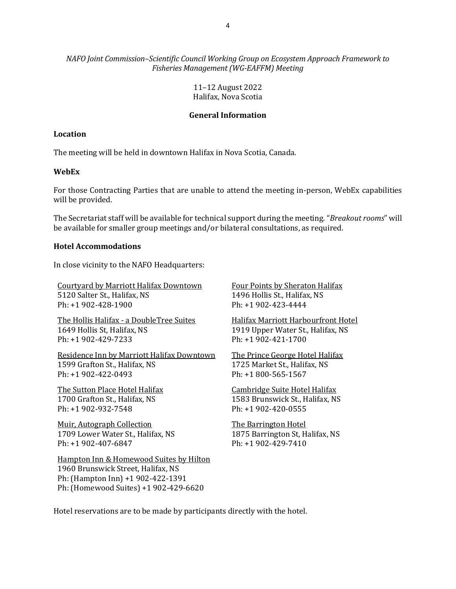*NAFO Joint Commission–Scientific Council Working Group on Ecosystem Approach Framework to Fisheries Management (WG-EAFFM) Meeting* 

> 11–12 August 2022 Halifax, Nova Scotia

#### **General Information**

#### **Location**

The meeting will be held in downtown Halifax in Nova Scotia, Canada.

#### **WebEx**

For those Contracting Parties that are unable to attend the meeting in-person, WebEx capabilities will be provided.

The Secretariat staff will be available for technical support during the meeting. "*Breakout rooms*" will be available for smaller group meetings and/or bilateral consultations, as required.

#### **Hotel Accommodations**

In close vicinity to the NAFO Headquarters:

[Courtyard by Marriott Halifax Downtown](https://www.marriott.com/hotels/travel/yhzcy-courtyard-halifax-downtown/) 5120 Salter St., Halifax, NS Ph: +1 902-428-1900

The Hollis Halifax - [a DoubleTree Suites](https://www.hilton.com/en/hotels/yhzhhdt-the-hollis-halifax/) 1649 Hollis St, Halifax, NS Ph: +1 902-429-7233

[Residence Inn by Marriott Halifax Downtown](https://www.marriott.com/hotels/travel/yhzri-residence-inn-halifax-downtown/) 1599 Grafton St., Halifax, NS Ph: +1 902-422-0493

[The Sutton Place Hotel Halifax](https://www.suttonplace.com/hotels/sutton-place-hotel-halifax-hal) 1700 Grafton St., Halifax, NS Ph: +1 902-932-7548

[Muir, Autograph Collection](https://www.marriott.com/en-us/hotels/yhzak-muir-autograph-collection/overview/) 1709 Lower Water St., Halifax, NS Ph: +1 902-407-6847

[Hampton Inn & Homewood Suites by Hilton](https://www.hilton.com/en/hotels/yhzdwhw-homewood-suites-halifax-downtown-nova-scotia-canada/)  1960 Brunswick Street, Halifax, NS Ph: (Hampton Inn) +1 902-422-1391 Ph: (Homewood Suites) +1 902-429-6620

[Four Points by Sheraton Halifax](https://www.marriott.com/hotels/fact-sheet/travel/yhzfp-four-points-halifax/) 1496 Hollis St., Halifax, NS Ph: +1 902-423-4444

[Halifax Marriott Harbourfront Hotel](https://www.marriott.com/hotels/travel/yhzmc-halifax-marriott-harbourfront-hotel/?scid=b5ce23d5-f27e-492f-84f7-78d09bef26e9&ppc=ppc&pId=ustbppc&nst=paid&gclid=Cj0KCQiA3NX_BRDQARIsALA3fIIESA7df3yHrq6tFcQDkrza7pdfQJhUzEOb9Pc3C5R_XoqcD2XUxtIaAox8EALw_wcB&gclsrc=aw.ds) 1919 Upper Water St., Halifax, NS Ph: +1 902-421-1700

[The Prince George Hotel Halifax](https://www.princegeorgehotel.com/) 1725 Market St., Halifax, NS Ph: +1 800-565-1567

[Cambridge Suite Hotel Halifax](https://www.cambridgesuiteshalifax.com/) 1583 Brunswick St., Halifax, NS Ph: +1 902-420-0555

[The Barrington Hotel](https://www.thebarringtonhotel.ca/) 1875 Barrington St, Halifax, NS Ph: +1 902-429-7410

Hotel reservations are to be made by participants directly with the hotel.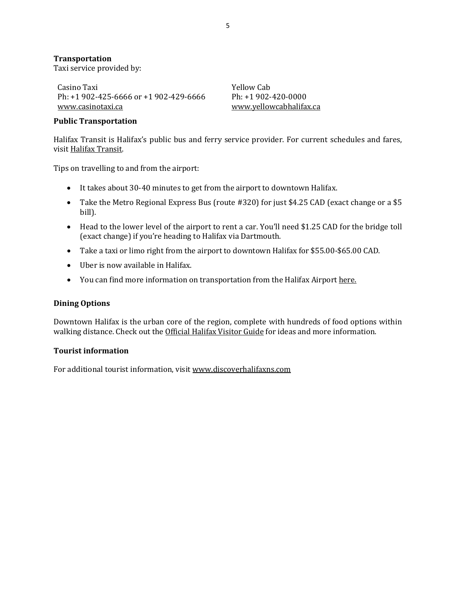#### **Transportation**

Taxi service provided by:

Casino Taxi Ph: +1 902-425-6666 or +1 902-429-6666 [www.casinotaxi.ca](http://www.casinotaxi.ca/)

Yellow Cab Ph: +1 902-420-0000 [www.yellowcabhalifax.ca](http://www.yellowcabhalifax.ca/)

#### **Public Transportation**

Halifax Transit is Halifax's public bus and ferry service provider. For current schedules and fares, visi[t Halifax Transit.](https://www.halifax.ca/transportation/halifax-transit/routes-schedules)

Tips on travelling to and from the airport:

- It takes about 30-40 minutes to get from the airport to downtown Halifax.
- Take the Metro Regional Express Bus (route #320) for just \$4.25 CAD (exact change or a \$5 bill).
- Head to the lower level of the airport to rent a car. You'll need \$1.25 CAD for the bridge toll (exact change) if you're heading to Halifax via Dartmouth.
- Take a taxi or limo right from the airport to downtown Halifax for \$55.00-\$65.00 CAD.
- Uber is now available in Halifax.
- You can find more information on transportation from the Halifax Airport [here.](https://halifaxstanfield.ca/transportation/)

#### **Dining Options**

Downtown Halifax is the urban core of the region, complete with hundreds of food options within walking distance. Check out the [Official Halifax Visitor Guide](https://issuu.com/discoverhalifaxns/docs/halifax_vistor_guide_2022-digital) for ideas and more information.

#### **Tourist information**

For additional tourist information, visi[t www.discoverhalifaxns.com](http://www.discoverhalifaxns.com/)